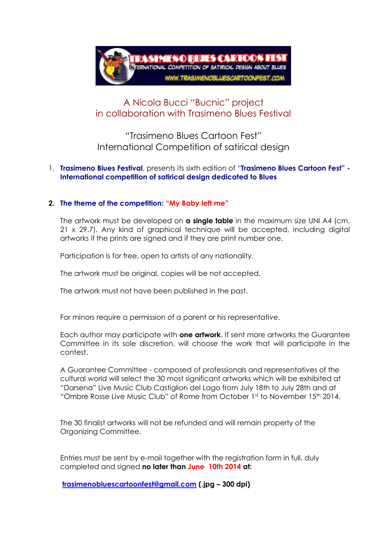

# A Nicola Bucci "Bucnic" project in collaboration with Trasimeno Blues Festival

"Trasimeno Blues Cartoon Fest" International Competition of satirical design

### 1. **Trasimeno Blues Festival**, presents its sixth edition of "**Trasimeno Blues Cartoon Fest" - International competition of satirical design dedicated to Blues**

### **2. The theme of the competition: "My Baby left me"**

The artwork must be developed on **a single table** in the maximum size UNI A4 (cm. 21 x 29.7). Any kind of graphical technique will be accepted, including digital artworks if the prints are signed and if they are print number one.

Participation is for free, open to artists of any nationality.

The artwork must be original, copies will be not accepted.

The artwork must not have been published in the past.

For minors require a permission of a parent or his representative.

Each author may participate with **one artwork**. If sent more artworks the Guarantee Committee in its sole discretion, will choose the work that will participate in the contest.

A Guarantee Committee - composed of professionals and representatives of the cultural world will select the 30 most significant artworks which will be exhibited at "Darsena" Live Music Club Castiglion del Lago from July 18th to July 28th and at "Ombre Rosse Live Music Club" of Rome from October 1st to November 15th 2014.

The 30 finalist artworks will not be refunded and will remain property of the Organizing Committee.

Entries must be sent by e-mail together with the registration form in full, duly completed and signed **no later than June 10th 2014 at:**

**[trasimenobluescartoonfest@gmail.com](mailto:trasimenobluescartoonfest@gmail.com) (.jpg – 300 dpi)**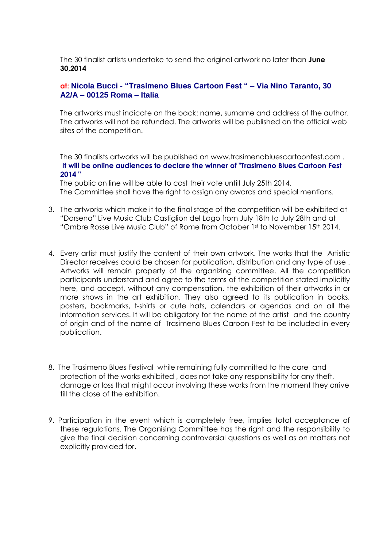The 30 finalist artists undertake to send the original artwork no later than **June 30,2014**

### **at: Nicola Bucci - "Trasimeno Blues Cartoon Fest " – Via Nino Taranto, 30 A2/A – 00125 Roma – Italia**

The artworks must indicate on the back: name, surname and address of the author. The artworks will not be refunded. The artworks will be published on the official web sites of the competition.

The 30 finalists artworks will be published on www.trasimenobluescartoonfest.com . **It will be online audiences to declare the winner of "Trasimeno Blues Cartoon Fest 2014 "**

The public on line will be able to cast their vote untill July 25th 2014. The Committee shall have the right to assign any awards and special mentions.

- 3. The artworks which make it to the final stage of the competition will be exhibited at "Darsena" Live Music Club Castiglion del Lago from July 18th to July 28th and at "Ombre Rosse Live Music Club" of Rome from October 1st to November 15th 2014.
- 4. Every artist must justify the content of their own artwork. The works that the Artistic Director receives could be chosen for publication, distribution and any type of use . Artworks will remain property of the organizing committee. All the competition participants understand and agree to the terms of the competition stated implicitly here, and accept, without any compensation, the exhibition of their artworks in or more shows in the art exhibition. They also agreed to its publication in books, posters, bookmarks, t-shirts or cute hats, calendars or agendas and on all the information services. It will be obligatory for the name of the artist and the country of origin and of the name of Trasimeno Blues Caroon Fest to be included in every publication.
- 8. The Trasimeno Blues Festival while remaining fully committed to the care and protection of the works exhibited , does not take any responsibility for any theft, damage or loss that might occur involving these works from the moment they arrive till the close of the exhibition.
- 9. Participation in the event which is completely free, implies total acceptance of these regulations. The Organising Committee has the right and the responsibility to give the final decision concerning controversial questions as well as on matters not explicitly provided for.